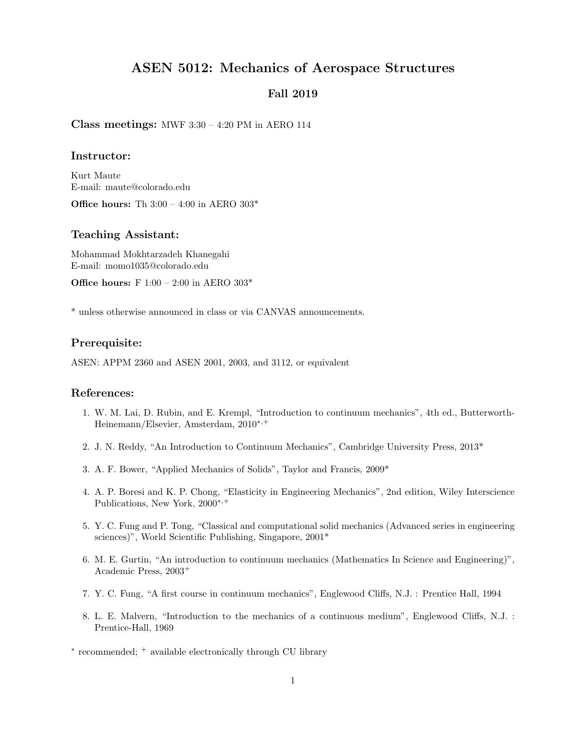# ASEN 5012: Mechanics of Aerospace Structures

## Fall 2019

Class meetings: MWF 3:30 – 4:20 PM in AERO 114

## Instructor:

Kurt Maute E-mail: maute@colorado.edu

Office hours: Th 3:00 – 4:00 in AERO 303\*

### Teaching Assistant:

Mohammad Mokhtarzadeh Khanegahi E-mail: momo1035@colorado.edu

Office hours: F 1:00 – 2:00 in AERO 303\*

 $^\ast$  unless otherwise announced in class or via CANVAS announcements.

### Prerequisite:

ASEN: APPM 2360 and ASEN 2001, 2003, and 3112, or equivalent

#### References:

- 1. W. M. Lai, D. Rubin, and E. Krempl, "Introduction to continuum mechanics", 4th ed., Butterworth-Heinemann/Elsevier, Amsterdam, 2010<sup>∗</sup>,<sup>+</sup>
- 2. J. N. Reddy, "An Introduction to Continuum Mechanics", Cambridge University Press, 2013\*
- 3. A. F. Bower, "Applied Mechanics of Solids", Taylor and Francis, 2009\*
- 4. A. P. Boresi and K. P. Chong, "Elasticity in Engineering Mechanics", 2nd edition, Wiley Interscience Publications, New York, 2000<sup>∗</sup>,<sup>+</sup>
- 5. Y. C. Fung and P. Tong, "Classical and computational solid mechanics (Advanced series in engineering sciences)", World Scientific Publishing, Singapore, 2001\*
- 6. M. E. Gurtin, "An introduction to continuum mechanics (Mathematics In Science and Engineering)", Academic Press, 2003<sup>+</sup>
- 7. Y. C. Fung, "A first course in continuum mechanics", Englewood Cliffs, N.J. : Prentice Hall, 1994
- 8. L. E. Malvern, "Introduction to the mechanics of a continuous medium", Englewood Cliffs, N.J. : Prentice-Hall, 1969

∗ recommended; <sup>+</sup> available electronically through CU library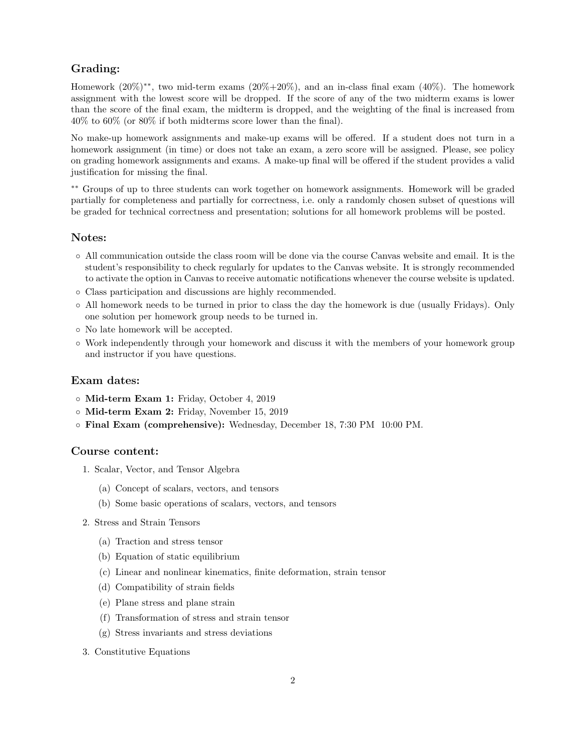## Grading:

Homework (20%)∗∗, two mid-term exams (20%+20%), and an in-class final exam (40%). The homework assignment with the lowest score will be dropped. If the score of any of the two midterm exams is lower than the score of the final exam, the midterm is dropped, and the weighting of the final is increased from 40% to 60% (or 80% if both midterms score lower than the final).

No make-up homework assignments and make-up exams will be offered. If a student does not turn in a homework assignment (in time) or does not take an exam, a zero score will be assigned. Please, see policy on grading homework assignments and exams. A make-up final will be offered if the student provides a valid justification for missing the final.

∗∗ Groups of up to three students can work together on homework assignments. Homework will be graded partially for completeness and partially for correctness, i.e. only a randomly chosen subset of questions will be graded for technical correctness and presentation; solutions for all homework problems will be posted.

## Notes:

- All communication outside the class room will be done via the course Canvas website and email. It is the student's responsibility to check regularly for updates to the Canvas website. It is strongly recommended to activate the option in Canvas to receive automatic notifications whenever the course website is updated.
- Class participation and discussions are highly recommended.
- All homework needs to be turned in prior to class the day the homework is due (usually Fridays). Only one solution per homework group needs to be turned in.
- No late homework will be accepted.
- Work independently through your homework and discuss it with the members of your homework group and instructor if you have questions.

## Exam dates:

- Mid-term Exam 1: Friday, October 4, 2019
- Mid-term Exam 2: Friday, November 15, 2019
- Final Exam (comprehensive): Wednesday, December 18, 7:30 PM 10:00 PM.

### Course content:

- 1. Scalar, Vector, and Tensor Algebra
	- (a) Concept of scalars, vectors, and tensors
	- (b) Some basic operations of scalars, vectors, and tensors
- 2. Stress and Strain Tensors
	- (a) Traction and stress tensor
	- (b) Equation of static equilibrium
	- (c) Linear and nonlinear kinematics, finite deformation, strain tensor
	- (d) Compatibility of strain fields
	- (e) Plane stress and plane strain
	- (f) Transformation of stress and strain tensor
	- (g) Stress invariants and stress deviations
- 3. Constitutive Equations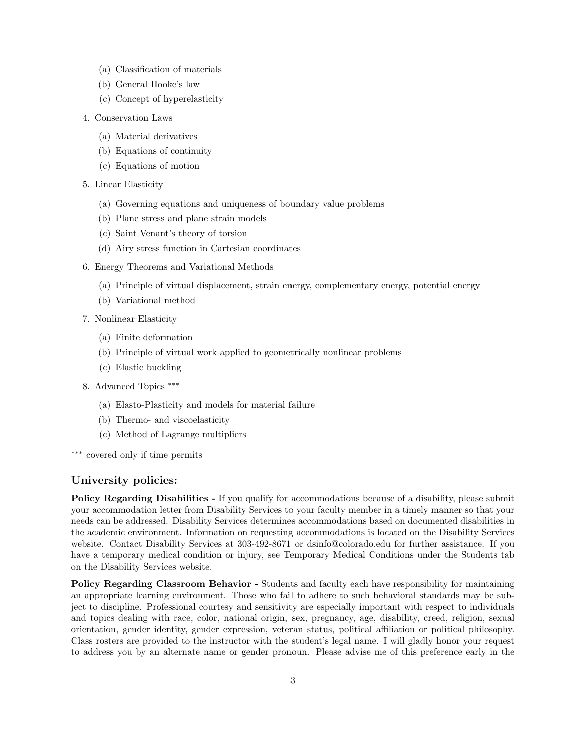- (a) Classification of materials
- (b) General Hooke's law
- (c) Concept of hyperelasticity
- 4. Conservation Laws
	- (a) Material derivatives
	- (b) Equations of continuity
	- (c) Equations of motion
- 5. Linear Elasticity
	- (a) Governing equations and uniqueness of boundary value problems
	- (b) Plane stress and plane strain models
	- (c) Saint Venant's theory of torsion
	- (d) Airy stress function in Cartesian coordinates
- 6. Energy Theorems and Variational Methods
	- (a) Principle of virtual displacement, strain energy, complementary energy, potential energy
	- (b) Variational method
- 7. Nonlinear Elasticity
	- (a) Finite deformation
	- (b) Principle of virtual work applied to geometrically nonlinear problems
	- (c) Elastic buckling
- 8. Advanced Topics <sup>\*\*\*</sup>
	- (a) Elasto-Plasticity and models for material failure
	- (b) Thermo- and viscoelasticity
	- (c) Method of Lagrange multipliers

∗∗∗ covered only if time permits

### University policies:

Policy Regarding Disabilities - If you qualify for accommodations because of a disability, please submit your accommodation letter from Disability Services to your faculty member in a timely manner so that your needs can be addressed. Disability Services determines accommodations based on documented disabilities in the academic environment. Information on requesting accommodations is located on the Disability Services website. Contact Disability Services at 303-492-8671 or dsinfo@colorado.edu for further assistance. If you have a temporary medical condition or injury, see Temporary Medical Conditions under the Students tab on the Disability Services website.

Policy Regarding Classroom Behavior - Students and faculty each have responsibility for maintaining an appropriate learning environment. Those who fail to adhere to such behavioral standards may be subject to discipline. Professional courtesy and sensitivity are especially important with respect to individuals and topics dealing with race, color, national origin, sex, pregnancy, age, disability, creed, religion, sexual orientation, gender identity, gender expression, veteran status, political affiliation or political philosophy. Class rosters are provided to the instructor with the student's legal name. I will gladly honor your request to address you by an alternate name or gender pronoun. Please advise me of this preference early in the